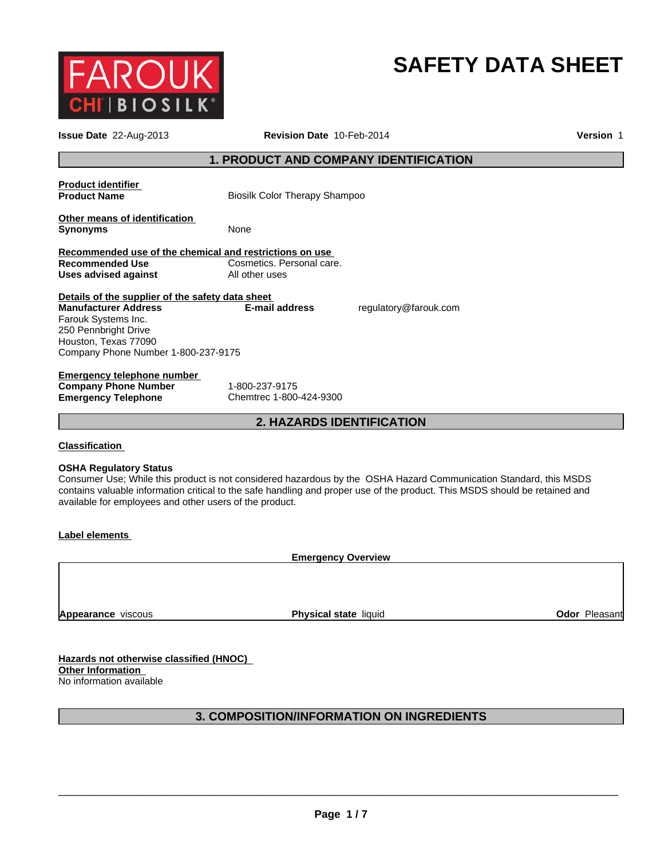

# **SAFETY DATA SHEET**

| <b>Issue Date</b> 22-Aug-2013                                                                                                                                                                 | Revision Date 10-Feb-2014                    | Version 1                                                                                                                                                                                                                                        |
|-----------------------------------------------------------------------------------------------------------------------------------------------------------------------------------------------|----------------------------------------------|--------------------------------------------------------------------------------------------------------------------------------------------------------------------------------------------------------------------------------------------------|
|                                                                                                                                                                                               | <b>1. PRODUCT AND COMPANY IDENTIFICATION</b> |                                                                                                                                                                                                                                                  |
| <b>Product identifier</b><br><b>Product Name</b>                                                                                                                                              | <b>Biosilk Color Therapy Shampoo</b>         |                                                                                                                                                                                                                                                  |
| Other means of identification<br><b>Synonyms</b>                                                                                                                                              | None                                         |                                                                                                                                                                                                                                                  |
| Recommended use of the chemical and restrictions on use<br><b>Recommended Use</b><br>Uses advised against                                                                                     | Cosmetics, Personal care.<br>All other uses  |                                                                                                                                                                                                                                                  |
| Details of the supplier of the safety data sheet<br><b>Manufacturer Address</b><br>Farouk Systems Inc.<br>250 Pennbright Drive<br>Houston, Texas 77090<br>Company Phone Number 1-800-237-9175 | <b>E-mail address</b>                        | regulatory@farouk.com                                                                                                                                                                                                                            |
| Emergency telephone number<br><b>Company Phone Number</b><br><b>Emergency Telephone</b>                                                                                                       | 1-800-237-9175<br>Chemtrec 1-800-424-9300    |                                                                                                                                                                                                                                                  |
|                                                                                                                                                                                               | <b>2. HAZARDS IDENTIFICATION</b>             |                                                                                                                                                                                                                                                  |
| <b>Classification</b>                                                                                                                                                                         |                                              |                                                                                                                                                                                                                                                  |
| <b>OSHA Regulatory Status</b><br>available for employees and other users of the product.                                                                                                      |                                              | Consumer Use; While this product is not considered hazardous by the OSHA Hazard Communication Standard, this MSDS<br>contains valuable information critical to the safe handling and proper use of the product. This MSDS should be retained and |
| Label elements                                                                                                                                                                                |                                              |                                                                                                                                                                                                                                                  |
|                                                                                                                                                                                               | <b>Emergency Overview</b>                    |                                                                                                                                                                                                                                                  |

**Appearance** viscous

**Physical state** liquid **CODOR Odor Pleasant** 

**Hazards not otherwise classified (HNOC) Other Information**  No information available

# **3. COMPOSITION/INFORMATION ON INGREDIENTS**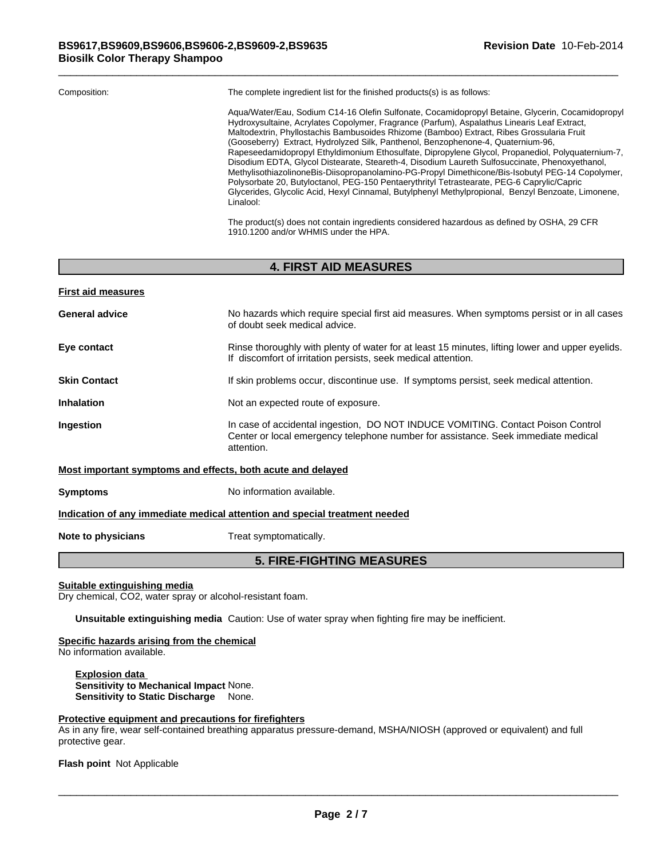| Composition: | The complete ingredient list for the finished products(s) is as follows:                                                                                                                                                                                                                                                                                                                                                                                                                                                                                                                                                                                                                                                                                                                                                                                                                                     |
|--------------|--------------------------------------------------------------------------------------------------------------------------------------------------------------------------------------------------------------------------------------------------------------------------------------------------------------------------------------------------------------------------------------------------------------------------------------------------------------------------------------------------------------------------------------------------------------------------------------------------------------------------------------------------------------------------------------------------------------------------------------------------------------------------------------------------------------------------------------------------------------------------------------------------------------|
|              | Agua/Water/Eau, Sodium C14-16 Olefin Sulfonate, Cocamidopropyl Betaine, Glycerin, Cocamidopropyl<br>Hydroxysultaine, Acrylates Copolymer, Fragrance (Parfum), Aspalathus Linearis Leaf Extract,<br>Maltodextrin, Phyllostachis Bambusoides Rhizome (Bamboo) Extract, Ribes Grossularia Fruit<br>(Gooseberry) Extract, Hydrolyzed Silk, Panthenol, Benzophenone-4, Quaternium-96,<br>Rapeseedamidopropyl Ethyldimonium Ethosulfate, Dipropylene Glycol, Propanediol, Polyquaternium-7,<br>Disodium EDTA, Glycol Distearate, Steareth-4, Disodium Laureth Sulfosuccinate, Phenoxyethanol,<br>MethylisothiazolinoneBis-Diisopropanolamino-PG-Propyl Dimethicone/Bis-Isobutyl PEG-14 Copolymer,<br>Polysorbate 20, Butyloctanol, PEG-150 Pentaerythrityl Tetrastearate, PEG-6 Caprylic/Capric<br>Glycerides, Glycolic Acid, Hexyl Cinnamal, Butylphenyl Methylpropional, Benzyl Benzoate, Limonene,<br>Linalool: |

The product(s) does not contain ingredients considered hazardous as defined by OSHA, 29 CFR 1910.1200 and/or WHMIS under the HPA.

# **4. FIRST AID MEASURES**

| <b>First aid measures</b>                                   |                                                                                                                                                                                    |
|-------------------------------------------------------------|------------------------------------------------------------------------------------------------------------------------------------------------------------------------------------|
| <b>General advice</b>                                       | No hazards which require special first aid measures. When symptoms persist or in all cases<br>of doubt seek medical advice.                                                        |
| Eye contact                                                 | Rinse thoroughly with plenty of water for at least 15 minutes, lifting lower and upper eyelids.<br>If discomfort of irritation persists, seek medical attention.                   |
| <b>Skin Contact</b>                                         | If skin problems occur, discontinue use. If symptoms persist, seek medical attention.                                                                                              |
| <b>Inhalation</b>                                           | Not an expected route of exposure.                                                                                                                                                 |
| <b>Ingestion</b>                                            | In case of accidental ingestion, DO NOT INDUCE VOMITING. Contact Poison Control<br>Center or local emergency telephone number for assistance. Seek immediate medical<br>attention. |
| Most important symptoms and effects, both acute and delayed |                                                                                                                                                                                    |

**Symptoms** No information available.

# **Indication of any immediate medical attention and special treatment needed**

**Note to physicians** Treat symptomatically.

# **5. FIRE-FIGHTING MEASURES**

**Suitable extinguishing media**

Dry chemical, CO2, water spray or alcohol-resistant foam.

**Unsuitable extinguishing media** Caution: Use of water spray when fighting fire may be inefficient.

**Specific hazards arising from the chemical**

No information available.

**Explosion data Sensitivity to Mechanical Impact** None. **Sensitivity to Static Discharge** None.

#### **Protective equipment and precautions for firefighters**

As in any fire, wear self-contained breathing apparatus pressure-demand, MSHA/NIOSH (approved or equivalent) and full protective gear.

**Flash point** Not Applicable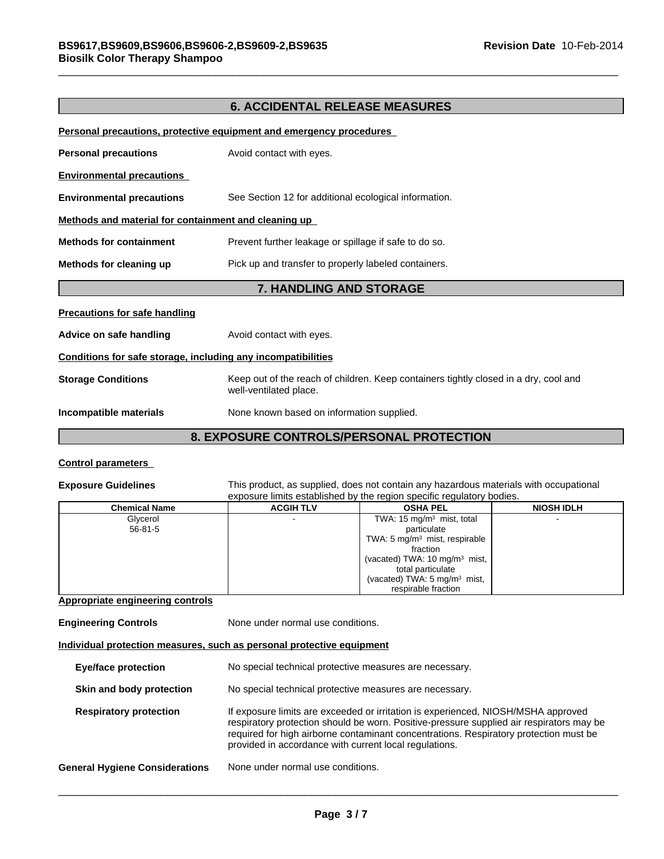# **6. ACCIDENTAL RELEASE MEASURES**

| <b>Storage Conditions</b>                                    | Keep out of the reach of children. Keep containers tightly closed in a dry, cool and |  |  |
|--------------------------------------------------------------|--------------------------------------------------------------------------------------|--|--|
| Conditions for safe storage, including any incompatibilities |                                                                                      |  |  |
| Advice on safe handling                                      | Avoid contact with eyes.                                                             |  |  |
| <b>Precautions for safe handling</b>                         |                                                                                      |  |  |
|                                                              | <b>7. HANDLING AND STORAGE</b>                                                       |  |  |
| Methods for cleaning up                                      | Pick up and transfer to properly labeled containers.                                 |  |  |
| <b>Methods for containment</b>                               | Prevent further leakage or spillage if safe to do so.                                |  |  |
| Methods and material for containment and cleaning up         |                                                                                      |  |  |
| <b>Environmental precautions</b>                             | See Section 12 for additional ecological information.                                |  |  |
| <b>Environmental precautions</b>                             |                                                                                      |  |  |
| <b>Personal precautions</b>                                  | Avoid contact with eyes.                                                             |  |  |
|                                                              |                                                                                      |  |  |

#### **Control parameters**

**Exposure Guidelines** This product, as supplied, does not contain any hazardous materials with occupational exposure limits established by the region specific regulatory bodies.

| <b>Chemical Name</b> | <b>ACGIH TLV</b> | <b>OSHA PEL</b>                           | <b>NIOSH IDLH</b> |
|----------------------|------------------|-------------------------------------------|-------------------|
| Glycerol             |                  | TWA: $15 \text{ mg/m}^3$ mist, total      |                   |
| $56 - 81 - 5$        |                  | particulate                               |                   |
|                      |                  | TWA: 5 $mg/m3$ mist, respirable           |                   |
|                      |                  | fraction                                  |                   |
|                      |                  | (vacated) TWA: 10 mg/m <sup>3</sup> mist, |                   |
|                      |                  | total particulate                         |                   |
|                      |                  | (vacated) TWA: 5 mg/m <sup>3</sup> mist,  |                   |
|                      |                  | respirable fraction                       |                   |

#### **Appropriate engineering controls**

**Engineering Controls** None under normal use conditions.

#### **Individual protection measures, such as personal protective equipment**

| <b>Eye/face protection</b>            | No special technical protective measures are necessary.                                                                                                                                                                                                                                                                          |  |
|---------------------------------------|----------------------------------------------------------------------------------------------------------------------------------------------------------------------------------------------------------------------------------------------------------------------------------------------------------------------------------|--|
| Skin and body protection              | No special technical protective measures are necessary.                                                                                                                                                                                                                                                                          |  |
| <b>Respiratory protection</b>         | If exposure limits are exceeded or irritation is experienced, NIOSH/MSHA approved<br>respiratory protection should be worn. Positive-pressure supplied air respirators may be<br>required for high airborne contaminant concentrations. Respiratory protection must be<br>provided in accordance with current local regulations. |  |
| <b>General Hygiene Considerations</b> | None under normal use conditions.                                                                                                                                                                                                                                                                                                |  |
|                                       |                                                                                                                                                                                                                                                                                                                                  |  |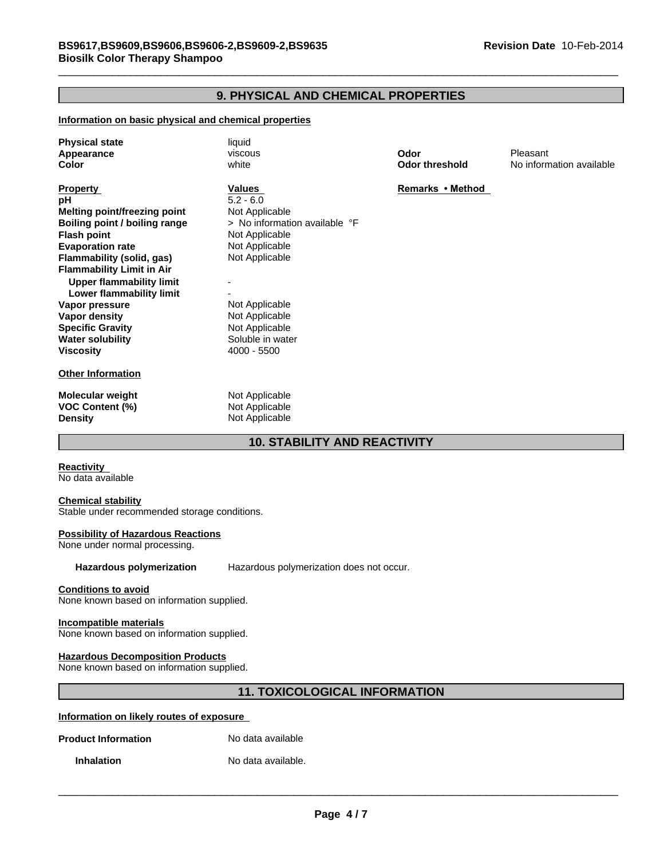# **9. PHYSICAL AND CHEMICAL PROPERTIES**

#### **Information on basic physical and chemical properties**

| liquid<br>viscous<br>white                                                                                                     | Odor<br><b>Odor threshold</b> | Pleasant<br>No information available |
|--------------------------------------------------------------------------------------------------------------------------------|-------------------------------|--------------------------------------|
| Values<br>$5.2 - 6.0$<br>Not Applicable<br>> No information available °F<br>Not Applicable<br>Not Applicable<br>Not Applicable | Remarks • Method              |                                      |
| Not Applicable<br>Not Applicable<br>Not Applicable<br>Soluble in water<br>$4000 - 5500$                                        |                               |                                      |
| Not Applicable<br>Not Applicable                                                                                               |                               |                                      |
|                                                                                                                                | Not Applicable                |                                      |

# **10. STABILITY AND REACTIVITY**

**Reactivity**  No data available

#### **Chemical stability**

Stable under recommended storage conditions.

#### **Possibility of Hazardous Reactions**

None under normal processing.

**Hazardous polymerization** Hazardous polymerization does not occur.

#### **Conditions to avoid**

None known based on information supplied.

#### **Incompatible materials**

None known based on information supplied.

#### **Hazardous Decomposition Products**

None known based on information supplied.

# **11. TOXICOLOGICAL INFORMATION**

#### **Information on likely routes of exposure**

**Product Information** No data available

**Inhalation** No data available.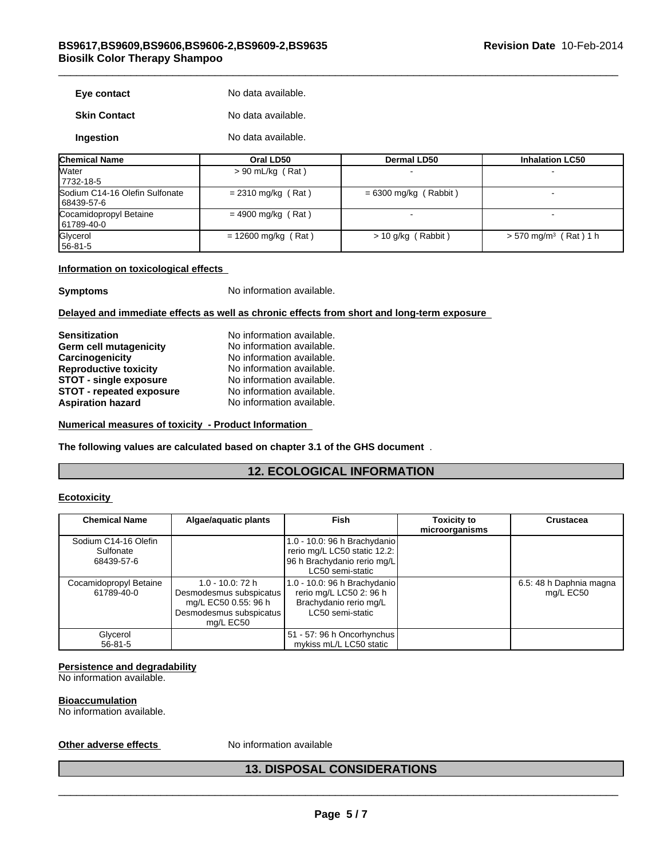| Eye contact         | No data available. |
|---------------------|--------------------|
| <b>Skin Contact</b> | No data available. |
| Ingestion           | No data available. |

| <b>Chemical Name</b>                         | Oral LD50             | <b>Dermal LD50</b>      | <b>Inhalation LC50</b>              |
|----------------------------------------------|-----------------------|-------------------------|-------------------------------------|
| <b>Water</b><br>7732-18-5                    | $> 90$ mL/kg (Rat)    |                         | $\overline{\phantom{0}}$            |
| Sodium C14-16 Olefin Sulfonate<br>68439-57-6 | $= 2310$ mg/kg (Rat)  | $= 6300$ mg/kg (Rabbit) |                                     |
| Cocamidopropyl Betaine<br>61789-40-0         | $= 4900$ mg/kg (Rat)  |                         |                                     |
| Glycerol<br>$156 - 81 - 5$                   | $= 12600$ mg/kg (Rat) | $> 10$ g/kg (Rabbit)    | $> 570$ mg/m <sup>3</sup> (Rat) 1 h |

#### **Information on toxicological effects**

**Symptoms** No information available.

#### **Delayed and immediate effects as well as chronic effects from short and long-term exposure**

| <b>Sensitization</b>            |  |
|---------------------------------|--|
| Germ cell mutagenicity          |  |
| Carcinogenicity                 |  |
| <b>Reproductive toxicity</b>    |  |
| <b>STOT - single exposure</b>   |  |
| <b>STOT - repeated exposure</b> |  |
| <b>Aspiration hazard</b>        |  |

No information available. No information available. No information available. **No information available.** No information available. No information available. **No information available.** 

**Numerical measures of toxicity - Product Information** 

**The following values are calculated based on chapter 3.1 of the GHS document** .

# **12. ECOLOGICAL INFORMATION**

#### **Ecotoxicity**

| <b>Chemical Name</b>                            | Algae/aquatic plants                                                                                        | <b>Fish</b>                                                                                                     | Toxicity to<br>microorganisms | <b>Crustacea</b>                     |
|-------------------------------------------------|-------------------------------------------------------------------------------------------------------------|-----------------------------------------------------------------------------------------------------------------|-------------------------------|--------------------------------------|
| Sodium C14-16 Olefin<br>Sulfonate<br>68439-57-6 |                                                                                                             | 1.0 - 10.0: 96 h Brachydanio<br>rerio mg/L LC50 static 12.2:<br>96 h Brachydanio rerio mg/L<br>LC50 semi-static |                               |                                      |
| Cocamidopropyl Betaine<br>61789-40-0            | 1.0 - 10.0: 72 h<br>Desmodesmus subspicatus<br>mg/L EC50 0.55: 96 h<br>Desmodesmus subspicatus<br>mg/L EC50 | 1.0 - 10.0: 96 h Brachydanio<br>rerio mg/L LC50 2: 96 h<br>Brachydanio rerio mg/L<br>LC50 semi-static           |                               | 6.5: 48 h Daphnia magna<br>mg/L EC50 |
| Glycerol<br>$56 - 81 - 5$                       |                                                                                                             | 51 - 57: 96 h Oncorhynchus  <br>mykiss mL/L LC50 static                                                         |                               |                                      |

#### **Persistence and degradability**

No information available.

#### **Bioaccumulation**

No information available.

# Other adverse effects Moinformation available<br> **13. DISPOSAL CONSIDERATIONS 13. DISPOSAL CONSIDERATIONS**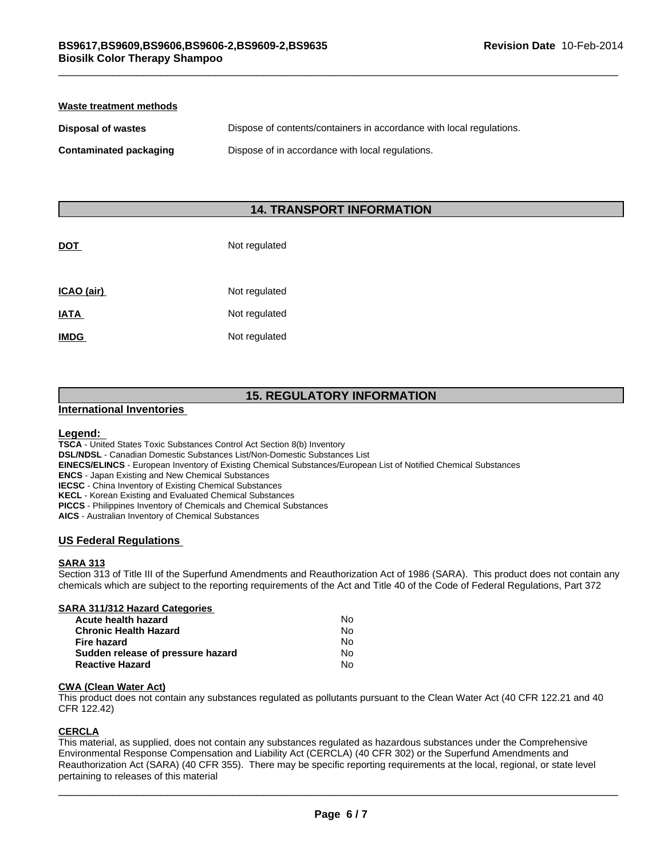| Waste treatment methods |                                                                      |  |  |
|-------------------------|----------------------------------------------------------------------|--|--|
| Disposal of wastes      | Dispose of contents/containers in accordance with local regulations. |  |  |
| Contaminated packaging  | Dispose of in accordance with local regulations.                     |  |  |

# **14. TRANSPORT INFORMATION**

| DOT         | Not regulated |
|-------------|---------------|
| ICAO (air)  | Not regulated |
| IATA        | Not regulated |
| <b>IMDG</b> | Not regulated |

# **15. REGULATORY INFORMATION**

#### **International Inventories**

#### **Legend:**

**TSCA** - United States Toxic Substances Control Act Section 8(b) Inventory

**DSL/NDSL** - Canadian Domestic Substances List/Non-Domestic Substances List

**EINECS/ELINCS** - European Inventory of Existing Chemical Substances/European List of Notified Chemical Substances

**ENCS** - Japan Existing and New Chemical Substances

**IECSC** - China Inventory of Existing Chemical Substances

**KECL** - Korean Existing and Evaluated Chemical Substances

**PICCS** - Philippines Inventory of Chemicals and Chemical Substances

**AICS** - Australian Inventory of Chemical Substances

#### **US Federal Regulations**

#### **SARA 313**

Section 313 of Title III of the Superfund Amendments and Reauthorization Act of 1986 (SARA). This product does not contain any chemicals which are subject to the reporting requirements of the Act and Title 40 of the Code of Federal Regulations, Part 372

| SARA 311/312 Hazard Categories    |    |  |
|-----------------------------------|----|--|
| Acute health hazard               | No |  |
| <b>Chronic Health Hazard</b>      | No |  |
| <b>Fire hazard</b>                | N٥ |  |
| Sudden release of pressure hazard | N٥ |  |
| <b>Reactive Hazard</b>            | No |  |

### **CWA (Clean Water Act)**

This product does not contain any substances regulated as pollutants pursuant to the Clean Water Act (40 CFR 122.21 and 40 CFR 122.42)

#### **CERCLA**

This material, as supplied, does not contain any substances regulated as hazardous substances under the Comprehensive Environmental Response Compensation and Liability Act (CERCLA) (40 CFR 302) or the Superfund Amendments and Reauthorization Act (SARA) (40 CFR 355). There may be specific reporting requirements at the local, regional, or state level pertaining to releases of this material